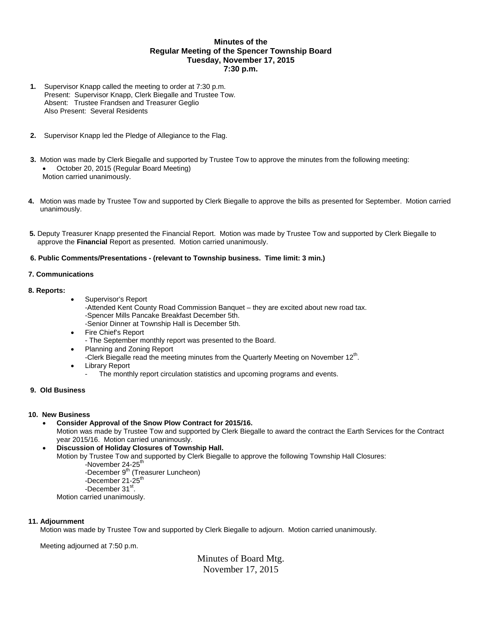# **Minutes of the Regular Meeting of the Spencer Township Board Tuesday, November 17, 2015 7:30 p.m.**

- **1.** Supervisor Knapp called the meeting to order at 7:30 p.m. Present: Supervisor Knapp, Clerk Biegalle and Trustee Tow. Absent: Trustee Frandsen and Treasurer Geglio Also Present: Several Residents
- **2.** Supervisor Knapp led the Pledge of Allegiance to the Flag.
- **3.** Motion was made by Clerk Biegalle and supported by Trustee Tow to approve the minutes from the following meeting: October 20, 2015 (Regular Board Meeting) Motion carried unanimously.
- **4.** Motion was made by Trustee Tow and supported by Clerk Biegalle to approve the bills as presented for September. Motion carried unanimously.
- **5.** Deputy Treasurer Knapp presented the Financial Report. Motion was made by Trustee Tow and supported by Clerk Biegalle to approve the **Financial** Report as presented. Motion carried unanimously.

### **6. Public Comments/Presentations - (relevant to Township business. Time limit: 3 min.)**

### **7. Communications**

### **8. Reports:**

- Supervisor's Report
	- -Attended Kent County Road Commission Banquet they are excited about new road tax. -Spencer Mills Pancake Breakfast December 5th.
	- -Senior Dinner at Township Hall is December 5th.
- Fire Chief's Report
	- The September monthly report was presented to the Board.
- Planning and Zoning Report
	- -Clerk Biegalle read the meeting minutes from the Quarterly Meeting on November  $12^{\text{th}}$ .
- Library Report
	- The monthly report circulation statistics and upcoming programs and events.

# **9. Old Business**

# **10. New Business**

- **Consider Approval of the Snow Plow Contract for 2015/16.**  Motion was made by Trustee Tow and supported by Clerk Biegalle to award the contract the Earth Services for the Contract year 2015/16. Motion carried unanimously.
- **Discussion of Holiday Closures of Township Hall.**
	- Motion by Trustee Tow and supported by Clerk Biegalle to approve the following Township Hall Closures:
		- -November 24-25<sup>th</sup>
		- -December 9<sup>th</sup> (Treasurer Luncheon) -December 21-25<sup>th</sup> -December 31<sup>st</sup>.

Motion carried unanimously.

# **11. Adjournment**

Motion was made by Trustee Tow and supported by Clerk Biegalle to adjourn. Motion carried unanimously.

Meeting adjourned at 7:50 p.m.

Minutes of Board Mtg. November 17, 2015